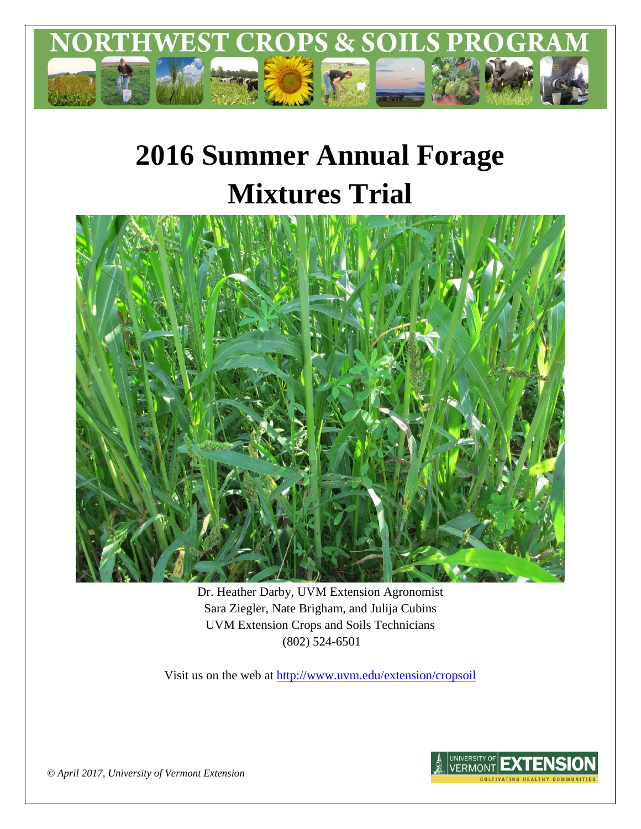

# **2016 Summer Annual Forage Mixtures Trial**



Dr. Heather Darby, UVM Extension Agronomist Sara Ziegler, Nate Brigham, and Julija Cubins UVM Extension Crops and Soils Technicians (802) 524-6501

Visit us on the web at <http://www.uvm.edu/extension/cropsoil>



*© April 2017, University of Vermont Extension*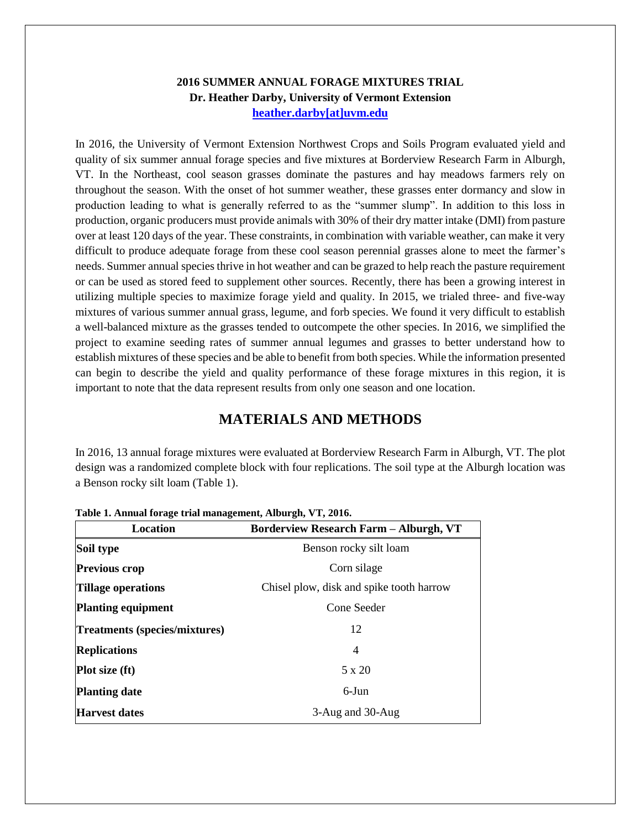#### **2016 SUMMER ANNUAL FORAGE MIXTURES TRIAL Dr. Heather Darby, University of Vermont Extension [heather.darby\[at\]uvm.edu](mailto:heather.darby@uvm.edu?subject=2013%20Long%20Season%20Corn%20Report)**

In 2016, the University of Vermont Extension Northwest Crops and Soils Program evaluated yield and quality of six summer annual forage species and five mixtures at Borderview Research Farm in Alburgh, VT. In the Northeast, cool season grasses dominate the pastures and hay meadows farmers rely on throughout the season. With the onset of hot summer weather, these grasses enter dormancy and slow in production leading to what is generally referred to as the "summer slump". In addition to this loss in production, organic producers must provide animals with 30% of their dry matter intake (DMI) from pasture over at least 120 days of the year. These constraints, in combination with variable weather, can make it very difficult to produce adequate forage from these cool season perennial grasses alone to meet the farmer's needs. Summer annual species thrive in hot weather and can be grazed to help reach the pasture requirement or can be used as stored feed to supplement other sources. Recently, there has been a growing interest in utilizing multiple species to maximize forage yield and quality. In 2015, we trialed three- and five-way mixtures of various summer annual grass, legume, and forb species. We found it very difficult to establish a well-balanced mixture as the grasses tended to outcompete the other species. In 2016, we simplified the project to examine seeding rates of summer annual legumes and grasses to better understand how to establish mixtures of these species and be able to benefit from both species. While the information presented can begin to describe the yield and quality performance of these forage mixtures in this region, it is important to note that the data represent results from only one season and one location.

## **MATERIALS AND METHODS**

In 2016, 13 annual forage mixtures were evaluated at Borderview Research Farm in Alburgh, VT. The plot design was a randomized complete block with four replications. The soil type at the Alburgh location was a Benson rocky silt loam (Table 1).

| Location                      | <b>Borderview Research Farm - Alburgh, VT</b> |  |  |
|-------------------------------|-----------------------------------------------|--|--|
| Soil type                     | Benson rocky silt loam                        |  |  |
| <b>Previous crop</b>          | Corn silage                                   |  |  |
| <b>Tillage operations</b>     | Chisel plow, disk and spike tooth harrow      |  |  |
| <b>Planting equipment</b>     | Cone Seeder                                   |  |  |
| Treatments (species/mixtures) | 12                                            |  |  |
| <b>Replications</b>           | 4                                             |  |  |
| <b>Plot size (ft)</b>         | $5 \times 20$                                 |  |  |
| <b>Planting date</b>          | $6$ -Jun                                      |  |  |
| <b>Harvest dates</b>          | 3-Aug and 30-Aug                              |  |  |

**Table 1. Annual forage trial management, Alburgh, VT, 2016.**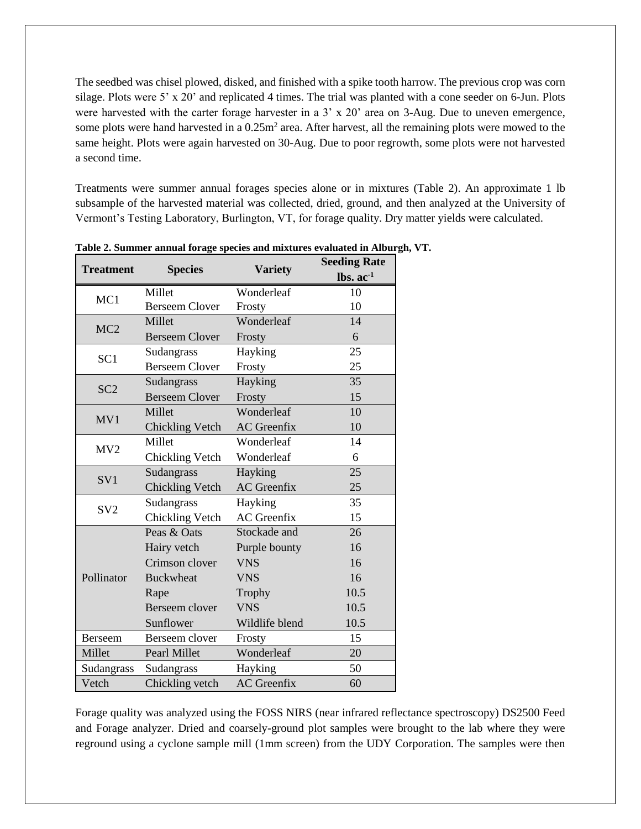The seedbed was chisel plowed, disked, and finished with a spike tooth harrow. The previous crop was corn silage. Plots were 5' x 20' and replicated 4 times. The trial was planted with a cone seeder on 6-Jun. Plots were harvested with the carter forage harvester in a 3' x 20' area on 3-Aug. Due to uneven emergence, some plots were hand harvested in a  $0.25m<sup>2</sup>$  area. After harvest, all the remaining plots were mowed to the same height. Plots were again harvested on 30-Aug. Due to poor regrowth, some plots were not harvested a second time.

Treatments were summer annual forages species alone or in mixtures (Table 2). An approximate 1 lb subsample of the harvested material was collected, dried, ground, and then analyzed at the University of Vermont's Testing Laboratory, Burlington, VT, for forage quality. Dry matter yields were calculated.

|                        |                                                                                                                                                                                                                                                                          |                                                                                                                                                                                                                                                                                                                                                                           | <b>Seeding Rate</b>               |  |
|------------------------|--------------------------------------------------------------------------------------------------------------------------------------------------------------------------------------------------------------------------------------------------------------------------|---------------------------------------------------------------------------------------------------------------------------------------------------------------------------------------------------------------------------------------------------------------------------------------------------------------------------------------------------------------------------|-----------------------------------|--|
| <b>Treatment</b>       |                                                                                                                                                                                                                                                                          |                                                                                                                                                                                                                                                                                                                                                                           | $\mathbf{lbs.}\ \mathbf{ac}^{-1}$ |  |
|                        | Millet                                                                                                                                                                                                                                                                   | <b>Variety</b><br>Wonderleaf<br>Frosty<br>Wonderleaf<br>Frosty<br>Hayking<br>Frosty<br>Hayking<br>Frosty<br>Wonderleaf<br><b>AC</b> Greenfix<br>Wonderleaf<br>Wonderleaf<br>Hayking<br><b>AC</b> Greenfix<br>Hayking<br><b>AC</b> Greenfix<br>Stockade and<br>Purple bounty<br><b>VNS</b><br><b>VNS</b><br>Trophy<br><b>VNS</b><br>Wildlife blend<br>Frosty<br>Wonderleaf | 10                                |  |
| MC1                    | <b>Species</b><br><b>Berseem Clover</b><br>Millet<br><b>Berseem Clover</b><br>Sudangrass<br><b>Berseem Clover</b><br>Sudangrass<br><b>Berseem Clover</b><br>Millet<br><b>Chickling Vetch</b><br>Millet<br><b>Chickling Vetch</b><br>Sudangrass<br><b>Chickling Vetch</b> |                                                                                                                                                                                                                                                                                                                                                                           | 10                                |  |
| MC <sub>2</sub>        |                                                                                                                                                                                                                                                                          |                                                                                                                                                                                                                                                                                                                                                                           | 14                                |  |
|                        |                                                                                                                                                                                                                                                                          |                                                                                                                                                                                                                                                                                                                                                                           | 6                                 |  |
| SC <sub>1</sub>        |                                                                                                                                                                                                                                                                          |                                                                                                                                                                                                                                                                                                                                                                           | 25                                |  |
|                        |                                                                                                                                                                                                                                                                          |                                                                                                                                                                                                                                                                                                                                                                           | 25                                |  |
|                        |                                                                                                                                                                                                                                                                          |                                                                                                                                                                                                                                                                                                                                                                           | 35                                |  |
| SC <sub>2</sub>        |                                                                                                                                                                                                                                                                          |                                                                                                                                                                                                                                                                                                                                                                           | 15                                |  |
|                        |                                                                                                                                                                                                                                                                          |                                                                                                                                                                                                                                                                                                                                                                           | 10                                |  |
| MV1<br>MV <sub>2</sub> |                                                                                                                                                                                                                                                                          |                                                                                                                                                                                                                                                                                                                                                                           | 10                                |  |
|                        |                                                                                                                                                                                                                                                                          |                                                                                                                                                                                                                                                                                                                                                                           | 14                                |  |
|                        |                                                                                                                                                                                                                                                                          |                                                                                                                                                                                                                                                                                                                                                                           | 6                                 |  |
| SV1                    |                                                                                                                                                                                                                                                                          |                                                                                                                                                                                                                                                                                                                                                                           | 25                                |  |
|                        |                                                                                                                                                                                                                                                                          |                                                                                                                                                                                                                                                                                                                                                                           | 25                                |  |
| SV <sub>2</sub>        | Sudangrass                                                                                                                                                                                                                                                               |                                                                                                                                                                                                                                                                                                                                                                           | 35                                |  |
|                        | <b>Chickling Vetch</b>                                                                                                                                                                                                                                                   |                                                                                                                                                                                                                                                                                                                                                                           | 15                                |  |
|                        | Peas & Oats                                                                                                                                                                                                                                                              |                                                                                                                                                                                                                                                                                                                                                                           | 26                                |  |
|                        | Hairy vetch                                                                                                                                                                                                                                                              |                                                                                                                                                                                                                                                                                                                                                                           | 16                                |  |
|                        | Crimson clover                                                                                                                                                                                                                                                           |                                                                                                                                                                                                                                                                                                                                                                           | 16                                |  |
| Pollinator             | <b>Buckwheat</b>                                                                                                                                                                                                                                                         |                                                                                                                                                                                                                                                                                                                                                                           | 16                                |  |
|                        | Rape                                                                                                                                                                                                                                                                     |                                                                                                                                                                                                                                                                                                                                                                           | 10.5                              |  |
|                        | Berseem clover                                                                                                                                                                                                                                                           |                                                                                                                                                                                                                                                                                                                                                                           | 10.5                              |  |
|                        | Sunflower                                                                                                                                                                                                                                                                |                                                                                                                                                                                                                                                                                                                                                                           | 10.5                              |  |
| Berseem                | Berseem clover                                                                                                                                                                                                                                                           |                                                                                                                                                                                                                                                                                                                                                                           | 15                                |  |
| Millet                 | Pearl Millet                                                                                                                                                                                                                                                             |                                                                                                                                                                                                                                                                                                                                                                           | 20                                |  |
| Sudangrass             | Sudangrass                                                                                                                                                                                                                                                               | Hayking                                                                                                                                                                                                                                                                                                                                                                   | 50                                |  |
| Vetch                  | Chickling vetch                                                                                                                                                                                                                                                          | <b>AC</b> Greenfix                                                                                                                                                                                                                                                                                                                                                        | 60                                |  |

**Table 2. Summer annual forage species and mixtures evaluated in Alburgh, VT.**

Forage quality was analyzed using the FOSS NIRS (near infrared reflectance spectroscopy) DS2500 Feed and Forage analyzer. Dried and coarsely-ground plot samples were brought to the lab where they were reground using a cyclone sample mill (1mm screen) from the UDY Corporation. The samples were then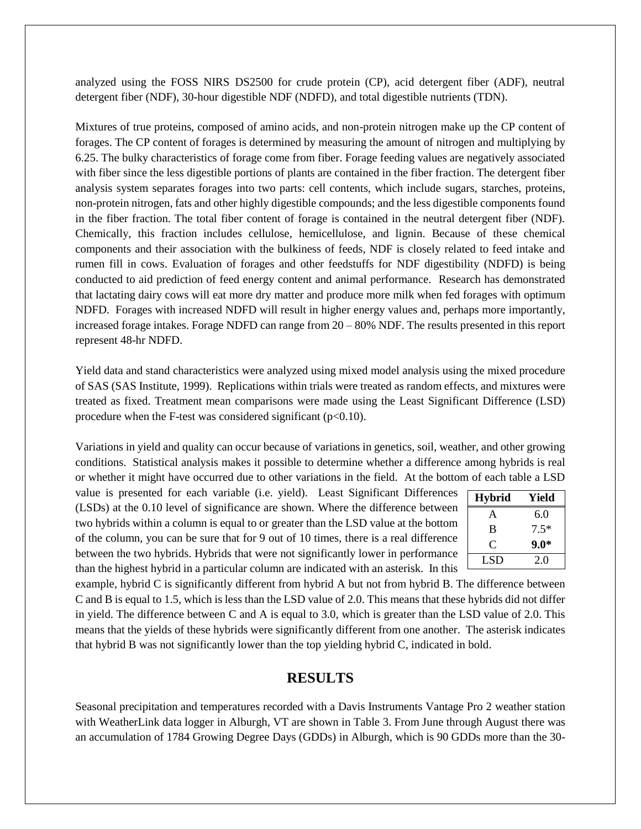analyzed using the FOSS NIRS DS2500 for crude protein (CP), acid detergent fiber (ADF), neutral detergent fiber (NDF), 30-hour digestible NDF (NDFD), and total digestible nutrients (TDN).

Mixtures of true proteins, composed of amino acids, and non-protein nitrogen make up the CP content of forages. The CP content of forages is determined by measuring the amount of nitrogen and multiplying by 6.25. The bulky characteristics of forage come from fiber. Forage feeding values are negatively associated with fiber since the less digestible portions of plants are contained in the fiber fraction. The detergent fiber analysis system separates forages into two parts: cell contents, which include sugars, starches, proteins, non-protein nitrogen, fats and other highly digestible compounds; and the less digestible components found in the fiber fraction. The total fiber content of forage is contained in the neutral detergent fiber (NDF). Chemically, this fraction includes cellulose, hemicellulose, and lignin. Because of these chemical components and their association with the bulkiness of feeds, NDF is closely related to feed intake and rumen fill in cows. Evaluation of forages and other feedstuffs for NDF digestibility (NDFD) is being conducted to aid prediction of feed energy content and animal performance. Research has demonstrated that lactating dairy cows will eat more dry matter and produce more milk when fed forages with optimum NDFD. Forages with increased NDFD will result in higher energy values and, perhaps more importantly, increased forage intakes. Forage NDFD can range from 20 – 80% NDF. The results presented in this report represent 48-hr NDFD.

Yield data and stand characteristics were analyzed using mixed model analysis using the mixed procedure of SAS (SAS Institute, 1999). Replications within trials were treated as random effects, and mixtures were treated as fixed. Treatment mean comparisons were made using the Least Significant Difference (LSD) procedure when the F-test was considered significant  $(p<0.10)$ .

Variations in yield and quality can occur because of variations in genetics, soil, weather, and other growing conditions. Statistical analysis makes it possible to determine whether a difference among hybrids is real or whether it might have occurred due to other variations in the field. At the bottom of each table a LSD

value is presented for each variable (i.e. yield). Least Significant Differences (LSDs) at the 0.10 level of significance are shown. Where the difference between two hybrids within a column is equal to or greater than the LSD value at the bottom of the column, you can be sure that for 9 out of 10 times, there is a real difference between the two hybrids. Hybrids that were not significantly lower in performance than the highest hybrid in a particular column are indicated with an asterisk. In this

| <b>Hybrid</b> | Yield  |
|---------------|--------|
| А             | 6.0    |
| B             | $7.5*$ |
| C,            | $9.0*$ |
| LSD           | 2.0    |

example, hybrid C is significantly different from hybrid A but not from hybrid B. The difference between C and B is equal to 1.5, which is less than the LSD value of 2.0. This means that these hybrids did not differ in yield. The difference between C and A is equal to 3.0, which is greater than the LSD value of 2.0. This means that the yields of these hybrids were significantly different from one another. The asterisk indicates that hybrid B was not significantly lower than the top yielding hybrid C, indicated in bold.

#### **RESULTS**

Seasonal precipitation and temperatures recorded with a Davis Instruments Vantage Pro 2 weather station with WeatherLink data logger in Alburgh, VT are shown in Table 3. From June through August there was an accumulation of 1784 Growing Degree Days (GDDs) in Alburgh, which is 90 GDDs more than the 30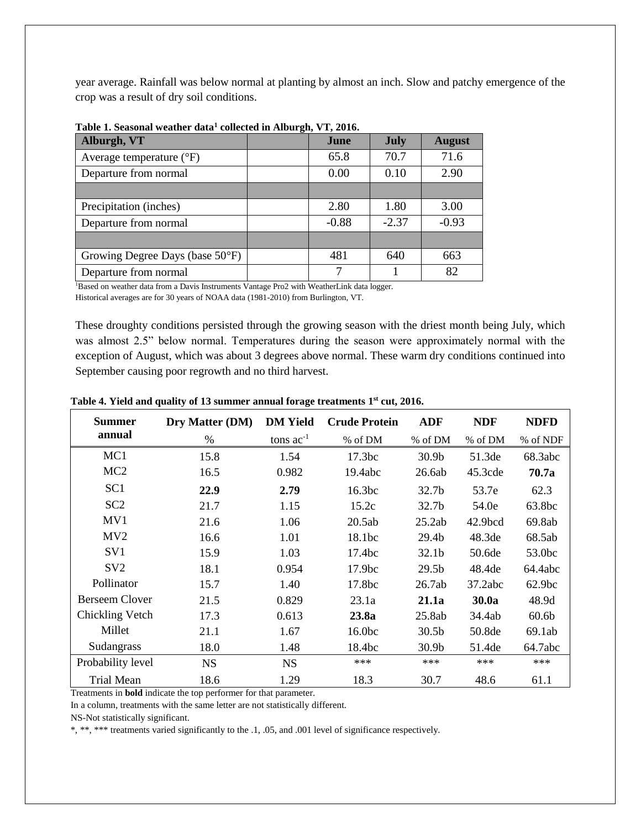year average. Rainfall was below normal at planting by almost an inch. Slow and patchy emergence of the crop was a result of dry soil conditions.

| Alburgh, VT                       | $\sim$ $\sim$<br>June | <b>July</b> | <b>August</b> |
|-----------------------------------|-----------------------|-------------|---------------|
| Average temperature $(^{\circ}F)$ | 65.8                  | 70.7        | 71.6          |
| Departure from normal             | 0.00                  | 0.10        | 2.90          |
|                                   |                       |             |               |
| Precipitation (inches)            | 2.80                  | 1.80        | 3.00          |
| Departure from normal             | $-0.88$               | $-2.37$     | $-0.93$       |
|                                   |                       |             |               |
| Growing Degree Days (base 50°F)   | 481                   | 640         | 663           |
| Departure from normal             |                       |             | 82            |

**Table 1. Seasonal weather data<sup>1</sup> collected in Alburgh, VT, 2016.**

<sup>1</sup>Based on weather data from a Davis Instruments Vantage Pro2 with WeatherLink data logger.

Historical averages are for 30 years of NOAA data (1981-2010) from Burlington, VT.

These droughty conditions persisted through the growing season with the driest month being July, which was almost 2.5" below normal. Temperatures during the season were approximately normal with the exception of August, which was about 3 degrees above normal. These warm dry conditions continued into September causing poor regrowth and no third harvest.

| <b>Summer</b>         | Dry Matter (DM) | <b>DM</b> Yield | <b>Crude Protein</b> | <b>ADF</b>        | <b>NDF</b>          | <b>NDFD</b>        |
|-----------------------|-----------------|-----------------|----------------------|-------------------|---------------------|--------------------|
| annual                | %               | tons $ac^{-1}$  | % of DM              | % of DM           | % of DM             | % of NDF           |
| MC <sub>1</sub>       | 15.8            | 1.54            | 17.3 <sub>bc</sub>   | 30.9 <sub>b</sub> | 51.3de              | 68.3abc            |
| MC <sub>2</sub>       | 16.5            | 0.982           | 19.4abc              | 26.6ab            | 45.3cde             | 70.7a              |
| SC <sub>1</sub>       | 22.9            | 2.79            | 16.3bc               | 32.7b             | 53.7e               | 62.3               |
| SC <sub>2</sub>       | 21.7            | 1.15            | 15.2c                | 32.7 <sub>b</sub> | 54.0e               | 63.8bc             |
| MV1                   | 21.6            | 1.06            | 20.5ab               | 25.2ab            | 42.9 <sub>bcd</sub> | 69.8ab             |
| MV <sub>2</sub>       | 16.6            | 1.01            | 18.1bc               | 29.4b             | 48.3de              | 68.5ab             |
| SV <sub>1</sub>       | 15.9            | 1.03            | 17.4bc               | 32.1 <sub>b</sub> | 50.6de              | 53.0bc             |
| SV2                   | 18.1            | 0.954           | 17.9bc               | 29.5 <sub>b</sub> | 48.4de              | 64.4abc            |
| Pollinator            | 15.7            | 1.40            | 17.8bc               | 26.7ab            | 37.2abc             | 62.9 <sub>bc</sub> |
| <b>Berseem Clover</b> | 21.5            | 0.829           | 23.1a                | 21.1a             | 30.0a               | 48.9d              |
| Chickling Vetch       | 17.3            | 0.613           | 23.8a                | 25.8ab            | 34.4ab              | 60.6 <sub>b</sub>  |
| Millet                | 21.1            | 1.67            | 16.0bc               | 30.5 <sub>b</sub> | 50.8de              | 69.1ab             |
| Sudangrass            | 18.0            | 1.48            | 18.4bc               | 30.9 <sub>b</sub> | 51.4de              | 64.7abc            |
| Probability level     | <b>NS</b>       | <b>NS</b>       | ***                  | $***$             | ***                 | ***                |
| <b>Trial Mean</b>     | 18.6            | 1.29            | 18.3                 | 30.7              | 48.6                | 61.1               |

**Table 4. Yield and quality of 13 summer annual forage treatments 1 st cut, 2016.**

Treatments in **bold** indicate the top performer for that parameter.

In a column, treatments with the same letter are not statistically different.

NS-Not statistically significant.

\*, \*\*, \*\*\* treatments varied significantly to the .1, .05, and .001 level of significance respectively.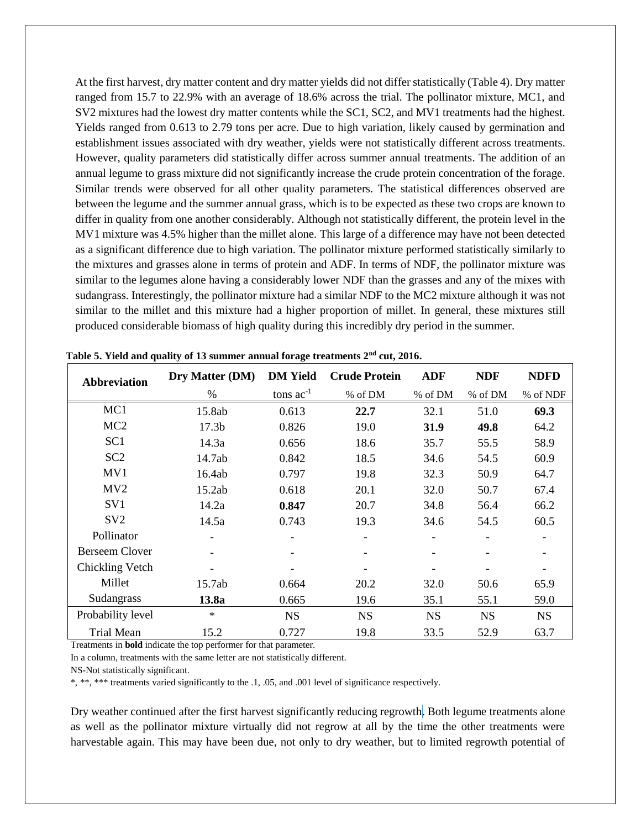At the first harvest, dry matter content and dry matter yields did not differ statistically (Table 4). Dry matter ranged from 15.7 to 22.9% with an average of 18.6% across the trial. The pollinator mixture, MC1, and SV2 mixtures had the lowest dry matter contents while the SC1, SC2, and MV1 treatments had the highest. Yields ranged from 0.613 to 2.79 tons per acre. Due to high variation, likely caused by germination and establishment issues associated with dry weather, yields were not statistically different across treatments. However, quality parameters did statistically differ across summer annual treatments. The addition of an annual legume to grass mixture did not significantly increase the crude protein concentration of the forage. Similar trends were observed for all other quality parameters. The statistical differences observed are between the legume and the summer annual grass, which is to be expected as these two crops are known to differ in quality from one another considerably. Although not statistically different, the protein level in the MV1 mixture was 4.5% higher than the millet alone. This large of a difference may have not been detected as a significant difference due to high variation. The pollinator mixture performed statistically similarly to the mixtures and grasses alone in terms of protein and ADF. In terms of NDF, the pollinator mixture was similar to the legumes alone having a considerably lower NDF than the grasses and any of the mixes with sudangrass. Interestingly, the pollinator mixture had a similar NDF to the MC2 mixture although it was not similar to the millet and this mixture had a higher proportion of millet. In general, these mixtures still produced considerable biomass of high quality during this incredibly dry period in the summer.

| <b>Abbreviation</b>   | Dry Matter (DM)   | <b>DM</b> Yield | <b>Crude Protein</b> | <b>ADF</b>               | <b>NDF</b> | <b>NDFD</b>              |
|-----------------------|-------------------|-----------------|----------------------|--------------------------|------------|--------------------------|
|                       | $\%$              | tons $ac^{-1}$  | % of DM              | % of DM                  | % of DM    | % of NDF                 |
| MC1                   | 15.8ab            | 0.613           | 22.7                 | 32.1                     | 51.0       | 69.3                     |
| MC <sub>2</sub>       | 17.3 <sub>b</sub> | 0.826           | 19.0                 | 31.9                     | 49.8       | 64.2                     |
| SC <sub>1</sub>       | 14.3a             | 0.656           | 18.6                 | 35.7                     | 55.5       | 58.9                     |
| SC <sub>2</sub>       | 14.7ab            | 0.842           | 18.5                 | 34.6                     | 54.5       | 60.9                     |
| MV1                   | 16.4ab            | 0.797           | 19.8                 | 32.3                     | 50.9       | 64.7                     |
| MV2                   | 15.2ab            | 0.618           | 20.1                 | 32.0                     | 50.7       | 67.4                     |
| SV <sub>1</sub>       | 14.2a             | 0.847           | 20.7                 | 34.8                     | 56.4       | 66.2                     |
| SV <sub>2</sub>       | 14.5a             | 0.743           | 19.3                 | 34.6                     | 54.5       | 60.5                     |
| Pollinator            |                   |                 | -                    | $\overline{\phantom{a}}$ |            | -                        |
| <b>Berseem Clover</b> |                   |                 |                      |                          |            |                          |
| Chickling Vetch       |                   |                 |                      |                          |            | $\overline{\phantom{a}}$ |
| Millet                | 15.7ab            | 0.664           | 20.2                 | 32.0                     | 50.6       | 65.9                     |
| Sudangrass            | 13.8a             | 0.665           | 19.6                 | 35.1                     | 55.1       | 59.0                     |
| Probability level     | $\ast$            | <b>NS</b>       | <b>NS</b>            | <b>NS</b>                | <b>NS</b>  | <b>NS</b>                |
| <b>Trial Mean</b>     | 15.2              | 0.727           | 19.8                 | 33.5                     | 52.9       | 63.7                     |

**Table 5. Yield and quality of 13 summer annual forage treatments 2nd cut, 2016.**

Treatments in **bold** indicate the top performer for that parameter.

In a column, treatments with the same letter are not statistically different.

NS-Not statistically significant.

\*, \*\*, \*\*\* treatments varied significantly to the .1, .05, and .001 level of significance respectively.

Dry weather continued after the first harvest significantly reducing regrowth. Both legume treatments alone as well as the pollinator mixture virtually did not regrow at all by the time the other treatments were harvestable again. This may have been due, not only to dry weather, but to limited regrowth potential of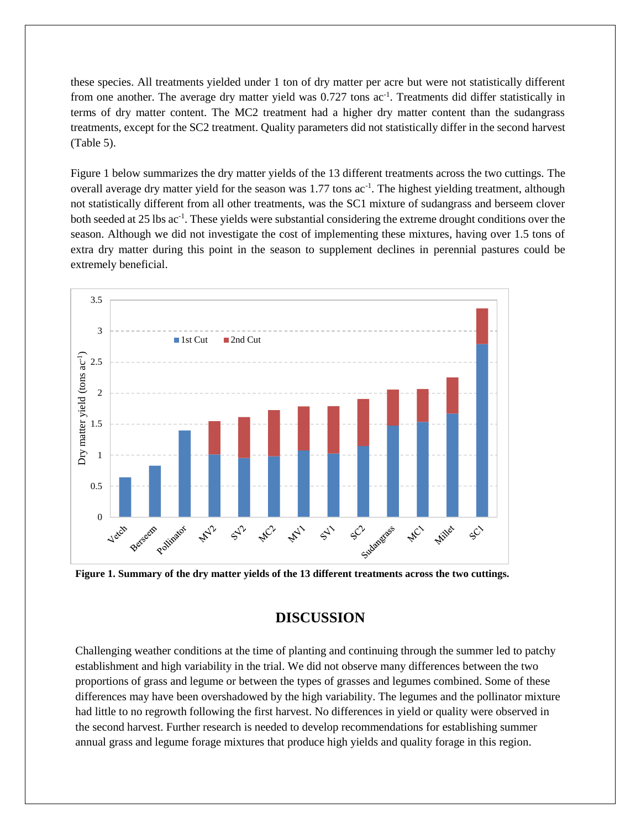these species. All treatments yielded under 1 ton of dry matter per acre but were not statistically different from one another. The average dry matter yield was 0.727 tons ac<sup>-1</sup>. Treatments did differ statistically in terms of dry matter content. The MC2 treatment had a higher dry matter content than the sudangrass treatments, except for the SC2 treatment. Quality parameters did not statistically differ in the second harvest (Table 5).

Figure 1 below summarizes the dry matter yields of the 13 different treatments across the two cuttings. The overall average dry matter yield for the season was 1.77 tons ac<sup>-1</sup>. The highest yielding treatment, although not statistically different from all other treatments, was the SC1 mixture of sudangrass and berseem clover both seeded at 25 lbs ac<sup>-1</sup>. These yields were substantial considering the extreme drought conditions over the season. Although we did not investigate the cost of implementing these mixtures, having over 1.5 tons of extra dry matter during this point in the season to supplement declines in perennial pastures could be extremely beneficial.



**Figure 1. Summary of the dry matter yields of the 13 different treatments across the two cuttings.**

## **DISCUSSION**

Challenging weather conditions at the time of planting and continuing through the summer led to patchy establishment and high variability in the trial. We did not observe many differences between the two proportions of grass and legume or between the types of grasses and legumes combined. Some of these differences may have been overshadowed by the high variability. The legumes and the pollinator mixture had little to no regrowth following the first harvest. No differences in yield or quality were observed in the second harvest. Further research is needed to develop recommendations for establishing summer annual grass and legume forage mixtures that produce high yields and quality forage in this region.